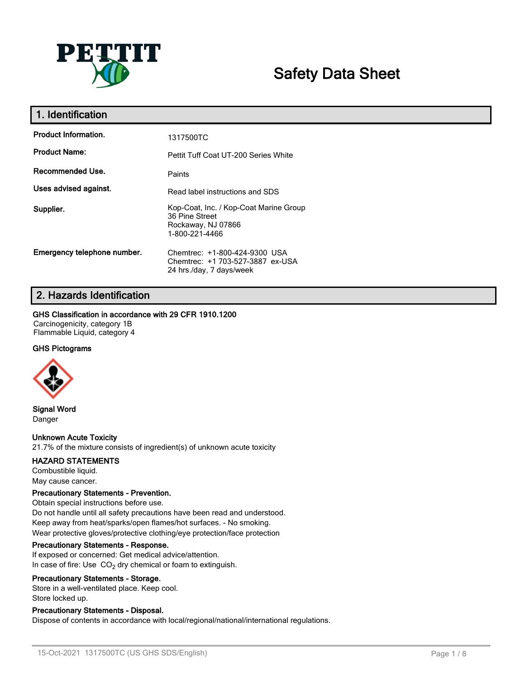

# **Safety Data Sheet**

| 1. Identification           |                                                                                                  |
|-----------------------------|--------------------------------------------------------------------------------------------------|
| <b>Product Information.</b> | 1317500TC                                                                                        |
| <b>Product Name:</b>        | Pettit Tuff Coat UT-200 Series White                                                             |
| Recommended Use.            | Paints                                                                                           |
| Uses advised against.       | Read label instructions and SDS                                                                  |
| Supplier.                   | Kop-Coat, Inc. / Kop-Coat Marine Group<br>36 Pine Street<br>Rockaway, NJ 07866<br>1-800-221-4466 |
| Emergency telephone number. | Chemtrec: +1-800-424-9300 USA<br>Chemtrec: +1 703-527-3887 ex-USA<br>24 hrs./day, 7 days/week    |

# **2. Hazards Identification**

## **GHS Classification in accordance with 29 CFR 1910.1200**

Carcinogenicity, category 1B Flammable Liquid, category 4

# **GHS Pictograms**



**Signal Word** Danger

# **Unknown Acute Toxicity**

21.7% of the mixture consists of ingredient(s) of unknown acute toxicity

### **HAZARD STATEMENTS**

Combustible liquid. May cause cancer.

### **Precautionary Statements - Prevention.**

Obtain special instructions before use. Do not handle until all safety precautions have been read and understood. Keep away from heat/sparks/open flames/hot surfaces. - No smoking. Wear protective gloves/protective clothing/eye protection/face protection

### **Precautionary Statements - Response.**

If exposed or concerned: Get medical advice/attention. In case of fire: Use  $CO<sub>2</sub>$  dry chemical or foam to extinguish.

### **Precautionary Statements - Storage.**

Store in a well-ventilated place. Keep cool. Store locked up.

# **Precautionary Statements - Disposal.**

Dispose of contents in accordance with local/regional/national/international regulations.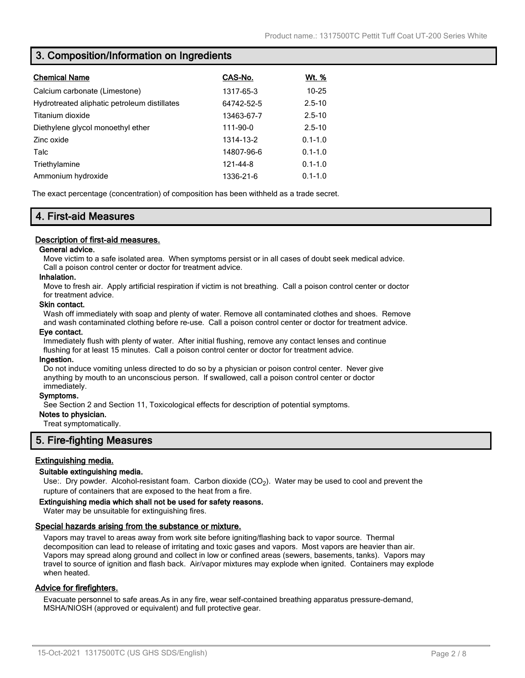# **3. Composition/Information on Ingredients**

| <b>Chemical Name</b>                         | CAS-No.    | Wt. %       |
|----------------------------------------------|------------|-------------|
| Calcium carbonate (Limestone)                | 1317-65-3  | $10 - 25$   |
| Hydrotreated aliphatic petroleum distillates | 64742-52-5 | $2.5 - 10$  |
| Titanium dioxide                             | 13463-67-7 | $2.5 - 10$  |
| Diethylene glycol monoethyl ether            | 111-90-0   | $2.5 - 10$  |
| Zinc oxide                                   | 1314-13-2  | $0.1 - 1.0$ |
| Talc                                         | 14807-96-6 | $0.1 - 1.0$ |
| Triethylamine                                | 121-44-8   | $0.1 - 1.0$ |
| Ammonium hydroxide                           | 1336-21-6  | $0.1 - 1.0$ |

The exact percentage (concentration) of composition has been withheld as a trade secret.

# **4. First-aid Measures**

# **Description of first-aid measures.**

## **General advice.**

Move victim to a safe isolated area. When symptoms persist or in all cases of doubt seek medical advice. Call a poison control center or doctor for treatment advice.

# **Inhalation.**

Move to fresh air. Apply artificial respiration if victim is not breathing. Call a poison control center or doctor for treatment advice.

### **Skin contact.**

Wash off immediately with soap and plenty of water. Remove all contaminated clothes and shoes. Remove and wash contaminated clothing before re-use. Call a poison control center or doctor for treatment advice.

### **Eye contact.**

Immediately flush with plenty of water. After initial flushing, remove any contact lenses and continue flushing for at least 15 minutes. Call a poison control center or doctor for treatment advice.

### **Ingestion.**

Do not induce vomiting unless directed to do so by a physician or poison control center. Never give anything by mouth to an unconscious person. If swallowed, call a poison control center or doctor immediately.

### **Symptoms.**

See Section 2 and Section 11, Toxicological effects for description of potential symptoms.

# **Notes to physician.**

Treat symptomatically.

# **5. Fire-fighting Measures**

# **Extinguishing media.**

### **Suitable extinguishing media.**

Use:. Dry powder. Alcohol-resistant foam. Carbon dioxide (CO<sub>2</sub>). Water may be used to cool and prevent the rupture of containers that are exposed to the heat from a fire.

### **Extinguishing media which shall not be used for safety reasons.**

Water may be unsuitable for extinguishing fires.

### **Special hazards arising from the substance or mixture.**

Vapors may travel to areas away from work site before igniting/flashing back to vapor source. Thermal decomposition can lead to release of irritating and toxic gases and vapors. Most vapors are heavier than air. Vapors may spread along ground and collect in low or confined areas (sewers, basements, tanks). Vapors may travel to source of ignition and flash back. Air/vapor mixtures may explode when ignited. Containers may explode when heated.

# **Advice for firefighters.**

Evacuate personnel to safe areas.As in any fire, wear self-contained breathing apparatus pressure-demand, MSHA/NIOSH (approved or equivalent) and full protective gear.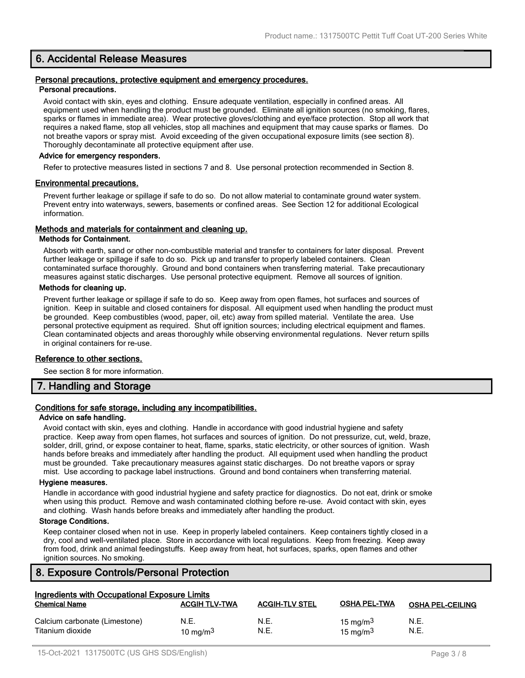# **6. Accidental Release Measures**

#### **Personal precautions, protective equipment and emergency procedures. Personal precautions.**

Avoid contact with skin, eyes and clothing. Ensure adequate ventilation, especially in confined areas. All equipment used when handling the product must be grounded. Eliminate all ignition sources (no smoking, flares, sparks or flames in immediate area). Wear protective gloves/clothing and eye/face protection. Stop all work that requires a naked flame, stop all vehicles, stop all machines and equipment that may cause sparks or flames. Do not breathe vapors or spray mist. Avoid exceeding of the given occupational exposure limits (see section 8). Thoroughly decontaminate all protective equipment after use.

#### **Advice for emergency responders.**

Refer to protective measures listed in sections 7 and 8. Use personal protection recommended in Section 8.

### **Environmental precautions.**

Prevent further leakage or spillage if safe to do so. Do not allow material to contaminate ground water system. Prevent entry into waterways, sewers, basements or confined areas. See Section 12 for additional Ecological information.

## **Methods and materials for containment and cleaning up.**

#### **Methods for Containment.**

Absorb with earth, sand or other non-combustible material and transfer to containers for later disposal. Prevent further leakage or spillage if safe to do so. Pick up and transfer to properly labeled containers. Clean contaminated surface thoroughly. Ground and bond containers when transferring material. Take precautionary measures against static discharges. Use personal protective equipment. Remove all sources of ignition.

### **Methods for cleaning up.**

Prevent further leakage or spillage if safe to do so. Keep away from open flames, hot surfaces and sources of ignition. Keep in suitable and closed containers for disposal. All equipment used when handling the product must be grounded. Keep combustibles (wood, paper, oil, etc) away from spilled material. Ventilate the area. Use personal protective equipment as required. Shut off ignition sources; including electrical equipment and flames. Clean contaminated objects and areas thoroughly while observing environmental regulations. Never return spills in original containers for re-use.

### **Reference to other sections.**

See section 8 for more information.

# **7. Handling and Storage**

# **Conditions for safe storage, including any incompatibilities.**

#### **Advice on safe handling.**

Avoid contact with skin, eyes and clothing. Handle in accordance with good industrial hygiene and safety practice. Keep away from open flames, hot surfaces and sources of ignition. Do not pressurize, cut, weld, braze, solder, drill, grind, or expose container to heat, flame, sparks, static electricity, or other sources of ignition. Wash hands before breaks and immediately after handling the product. All equipment used when handling the product must be grounded. Take precautionary measures against static discharges. Do not breathe vapors or spray mist. Use according to package label instructions. Ground and bond containers when transferring material.

#### **Hygiene measures.**

Handle in accordance with good industrial hygiene and safety practice for diagnostics. Do not eat, drink or smoke when using this product. Remove and wash contaminated clothing before re-use. Avoid contact with skin, eyes and clothing. Wash hands before breaks and immediately after handling the product.

## **Storage Conditions.**

Keep container closed when not in use. Keep in properly labeled containers. Keep containers tightly closed in a dry, cool and well-ventilated place. Store in accordance with local regulations. Keep from freezing. Keep away from food, drink and animal feedingstuffs. Keep away from heat, hot surfaces, sparks, open flames and other ignition sources. No smoking.

# **8. Exposure Controls/Personal Protection**

| Ingredients with Occupational Exposure Limits     |                      |                       |                            |                         |
|---------------------------------------------------|----------------------|-----------------------|----------------------------|-------------------------|
| <b>Chemical Name</b>                              | <b>ACGIH TLV-TWA</b> | <b>ACGIH-TLV STEL</b> | <b>OSHA PEL-TWA</b>        | <b>OSHA PEL-CEILING</b> |
| Calcium carbonate (Limestone)<br>Titanium dioxide | N.E.<br>10 mg/m $3$  | N.E.<br>N.E.          | 15 mg/m $3$<br>15 mg/m $3$ | N.E.<br>N.E.            |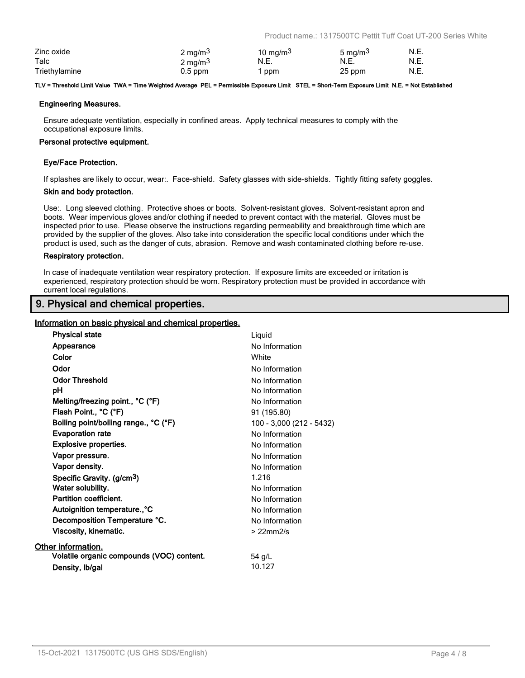Product name.: 1317500TC Pettit Tuff Coat UT-200 Series White

| Zinc oxide    | 2 mg/m <sup>3</sup> | 10 mg/m $3$ | 5 mg/m <sup>3</sup> | N.E. |
|---------------|---------------------|-------------|---------------------|------|
| Talc          | $2 \text{ mg/m}^3$  | N.E.        | N.E.                | N.E. |
| Triethylamine | $0.5$ ppm           | ppm         | 25 ppm              | N.E. |

#### **TLV = Threshold Limit Value TWA = Time Weighted Average PEL = Permissible Exposure Limit STEL = Short-Term Exposure Limit N.E. = Not Established**

#### **Engineering Measures.**

Ensure adequate ventilation, especially in confined areas. Apply technical measures to comply with the occupational exposure limits.

#### **Personal protective equipment.**

### **Eye/Face Protection.**

If splashes are likely to occur, wear:. Face-shield. Safety glasses with side-shields. Tightly fitting safety goggles.

#### **Skin and body protection.**

Use:. Long sleeved clothing. Protective shoes or boots. Solvent-resistant gloves. Solvent-resistant apron and boots. Wear impervious gloves and/or clothing if needed to prevent contact with the material. Gloves must be inspected prior to use. Please observe the instructions regarding permeability and breakthrough time which are provided by the supplier of the gloves. Also take into consideration the specific local conditions under which the product is used, such as the danger of cuts, abrasion. Remove and wash contaminated clothing before re-use.

#### **Respiratory protection.**

In case of inadequate ventilation wear respiratory protection. If exposure limits are exceeded or irritation is experienced, respiratory protection should be worn. Respiratory protection must be provided in accordance with current local regulations.

# **9. Physical and chemical properties.**

# **Information on basic physical and chemical properties.**

| <b>Physical state</b>                     | Liquid                   |
|-------------------------------------------|--------------------------|
| Appearance                                | No Information           |
| Color                                     | White                    |
| Odor                                      | No Information           |
| <b>Odor Threshold</b>                     | No Information           |
| рH                                        | No Information           |
| Melting/freezing point., °C (°F)          | No Information           |
| Flash Point., °C (°F)                     | 91 (195.80)              |
| Boiling point/boiling range., °C (°F)     | 100 - 3,000 (212 - 5432) |
| <b>Evaporation rate</b>                   | No Information           |
| <b>Explosive properties.</b>              | No Information           |
| Vapor pressure.                           | No Information           |
| Vapor density.                            | No Information           |
| Specific Gravity. (g/cm <sup>3</sup> )    | 1.216                    |
| Water solubility.                         | No Information           |
| <b>Partition coefficient.</b>             | No Information           |
| Autoignition temperature°C                | No Information           |
| Decomposition Temperature °C.             | No Information           |
| Viscosity, kinematic.                     | $>22$ mm $2/s$           |
| Other information.                        |                          |
| Volatile organic compounds (VOC) content. | 54 g/L                   |
| Density, Ib/gal                           | 10.127                   |
|                                           |                          |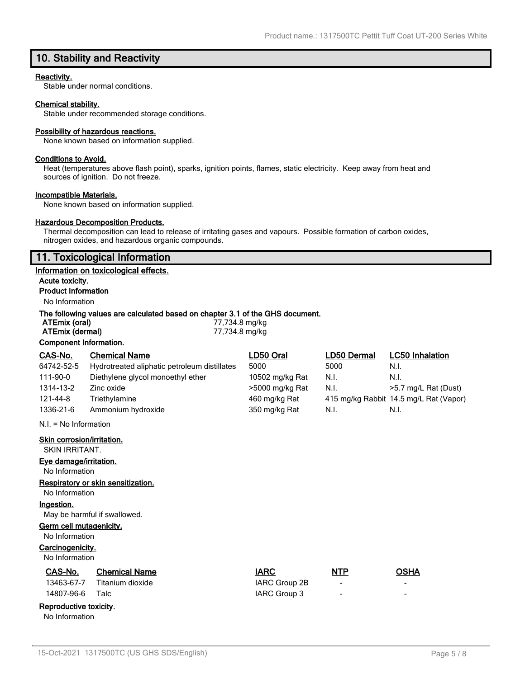# **10. Stability and Reactivity**

### **Reactivity.**

Stable under normal conditions.

### **Chemical stability.**

Stable under recommended storage conditions.

#### **Possibility of hazardous reactions.**

None known based on information supplied.

### **Conditions to Avoid.**

Heat (temperatures above flash point), sparks, ignition points, flames, static electricity. Keep away from heat and sources of ignition. Do not freeze.

#### **Incompatible Materials.**

None known based on information supplied.

### **Hazardous Decomposition Products.**

Thermal decomposition can lead to release of irritating gases and vapours. Possible formation of carbon oxides, nitrogen oxides, and hazardous organic compounds.

# **11. Toxicological Information**

#### **Information on toxicological effects.**

**Acute toxicity. Product Information**

# No Information

### **The following values are calculated based on chapter 3.1 of the GHS document.**

| ATEmix (oral)          | 77,734.8 mg/kg |
|------------------------|----------------|
| ATEmix (dermal)        | 77,734.8 mg/kg |
| Component Information. |                |

| CAS-No.                    | <b>Chemical Name</b>                         | LD50 Oral       | LD50 Dermal | <b>LC50 Inhalation</b>                 |
|----------------------------|----------------------------------------------|-----------------|-------------|----------------------------------------|
| 64742-52-5                 | Hydrotreated aliphatic petroleum distillates | 5000            | 5000        | N.I.                                   |
| 111-90-0                   | Diethylene glycol monoethyl ether            | 10502 mg/kg Rat | N.I.        | N.I.                                   |
| 1314-13-2                  | Zinc oxide                                   | >5000 mg/kg Rat | N.I.        | >5.7 mg/L Rat (Dust)                   |
| 121-44-8                   | Triethylamine                                | 460 mg/kg Rat   |             | 415 mg/kg Rabbit 14.5 mg/L Rat (Vapor) |
| 1336-21-6                  | Ammonium hydroxide                           | 350 mg/kg Rat   | N.I.        | N.I.                                   |
| $N.I. = No$ Information    |                                              |                 |             |                                        |
| Skin corrosion/irritation. |                                              |                 |             |                                        |
| SKIN IRRITANT.             |                                              |                 |             |                                        |
| Eye damage/irritation.     |                                              |                 |             |                                        |
| No Information             |                                              |                 |             |                                        |

#### **Respiratory or skin sensitization.**

No Information

# **Ingestion.**

May be harmful if swallowed.

# **Germ cell mutagenicity.**

No Information

# **Carcinogenicity.**

No Information

No Information

| No Information         |                      |               |                          |                          |
|------------------------|----------------------|---------------|--------------------------|--------------------------|
| CAS-No.                | <b>Chemical Name</b> | <b>IARC</b>   | NTP                      | OSHA                     |
| 13463-67-7             | Titanium dioxide     | IARC Group 2B | $\,$                     | $\overline{\phantom{0}}$ |
| 14807-96-6             | Talc                 | IARC Group 3  | $\overline{\phantom{0}}$ | $\overline{\phantom{0}}$ |
| Reproductive toxicity. |                      |               |                          |                          |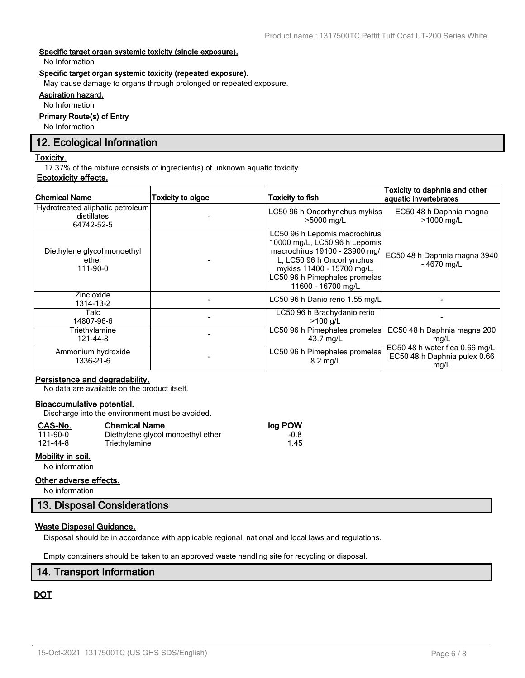### **Specific target organ systemic toxicity (single exposure).**

No Information

### **Specific target organ systemic toxicity (repeated exposure).**

May cause damage to organs through prolonged or repeated exposure.

# **Aspiration hazard.**

No Information

# **Primary Route(s) of Entry**

No Information

# **12. Ecological Information**

### **Toxicity.**

17.37% of the mixture consists of ingredient(s) of unknown aquatic toxicity

# **Ecotoxicity effects.**

| <b>Chemical Name</b>                                          | Toxicity to algae | <b>Toxicity to fish</b>                                                                                                                                                                                           | Toxicity to daphnia and other<br>aquatic invertebrates                  |
|---------------------------------------------------------------|-------------------|-------------------------------------------------------------------------------------------------------------------------------------------------------------------------------------------------------------------|-------------------------------------------------------------------------|
| Hydrotreated aliphatic petroleum<br>distillates<br>64742-52-5 |                   | LC50 96 h Oncorhynchus mykiss<br>>5000 mg/L                                                                                                                                                                       | EC50 48 h Daphnia magna<br>>1000 mg/L                                   |
| Diethylene glycol monoethyl<br>ether<br>111-90-0              |                   | LC50 96 h Lepomis macrochirus<br>10000 mg/L, LC50 96 h Lepomis<br>macrochirus 19100 - 23900 mg/<br>L, LC50 96 h Oncorhynchus<br>mykiss 11400 - 15700 mg/L,<br>LC50 96 h Pimephales promelas<br>11600 - 16700 mg/L | EC50 48 h Daphnia magna 3940<br>$-4670$ mg/L                            |
| Zinc oxide<br>1314-13-2                                       |                   | LC50 96 h Danio rerio 1.55 mg/L                                                                                                                                                                                   |                                                                         |
| Talc<br>14807-96-6                                            |                   | LC50 96 h Brachydanio rerio<br>$>100$ a/L                                                                                                                                                                         |                                                                         |
| Triethylamine<br>121-44-8                                     |                   | LC50 96 h Pimephales promelas<br>43.7 mg/L                                                                                                                                                                        | EC50 48 h Daphnia magna 200<br>mg/L                                     |
| Ammonium hydroxide<br>1336-21-6                               |                   | LC50 96 h Pimephales promelas<br>$8.2 \text{ ma/L}$                                                                                                                                                               | EC50 48 h water flea 0.66 mg/L,<br>EC50 48 h Daphnia pulex 0.66<br>mg/L |

# **Persistence and degradability.**

No data are available on the product itself.

# **Bioaccumulative potential.**

Discharge into the environment must be avoided.

Triethylamine

# **CAS-No. Chemical Name log POW**

| 111-90-0 |  |
|----------|--|
| 121-44-8 |  |

# **Mobility in soil.**

No information

### **Other adverse effects.**

No information

# **13. Disposal Considerations**

# **Waste Disposal Guidance.**

Disposal should be in accordance with applicable regional, national and local laws and regulations.

Empty containers should be taken to an approved waste handling site for recycling or disposal.

# **14. Transport Information**

# **DOT**

1.00 Diethylene glycol monoethyl ether -0.8<br>1.45 Triethylamine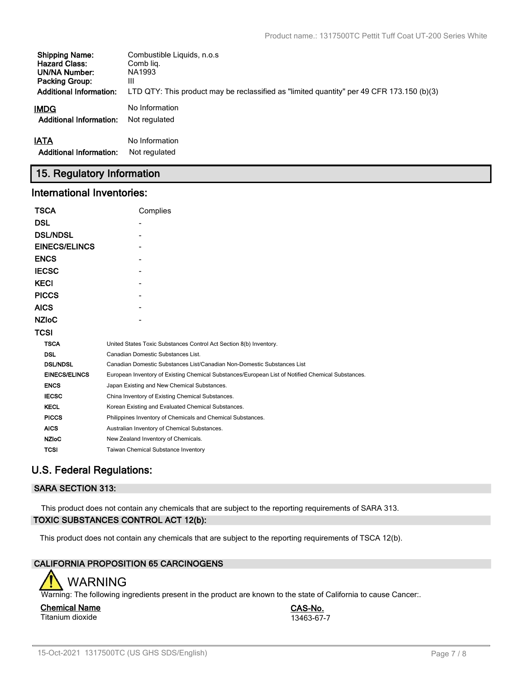| <b>Shipping Name:</b>          | Combustible Liquids, n.o.s                                                                |
|--------------------------------|-------------------------------------------------------------------------------------------|
| <b>Hazard Class:</b>           | Comb lig.                                                                                 |
| UN/NA Number:                  | NA1993                                                                                    |
| <b>Packing Group:</b>          | Ш                                                                                         |
| <b>Additional Information:</b> | LTD QTY: This product may be reclassified as "limited quantity" per 49 CFR 173.150 (b)(3) |
| IMDG                           | No Information                                                                            |
| <b>Additional Information:</b> | Not regulated                                                                             |
| <b>IATA</b>                    | No Information                                                                            |
| <b>Additional Information:</b> | Not regulated                                                                             |

# **15. Regulatory Information**

# **International Inventories:**

| <b>TSCA</b>          | Complies                                                                                          |
|----------------------|---------------------------------------------------------------------------------------------------|
| <b>DSL</b>           |                                                                                                   |
| <b>DSL/NDSL</b>      |                                                                                                   |
| <b>EINECS/ELINCS</b> |                                                                                                   |
| <b>ENCS</b>          |                                                                                                   |
| <b>IECSC</b>         |                                                                                                   |
| <b>KECI</b>          |                                                                                                   |
| <b>PICCS</b>         |                                                                                                   |
| <b>AICS</b>          |                                                                                                   |
| <b>NZIOC</b>         |                                                                                                   |
| <b>TCSI</b>          |                                                                                                   |
| <b>TSCA</b>          | United States Toxic Substances Control Act Section 8(b) Inventory.                                |
| <b>DSL</b>           | Canadian Domestic Substances List.                                                                |
| <b>DSL/NDSL</b>      | Canadian Domestic Substances List/Canadian Non-Domestic Substances List                           |
| <b>EINECS/ELINCS</b> | European Inventory of Existing Chemical Substances/European List of Notified Chemical Substances. |
| <b>ENCS</b>          | Japan Existing and New Chemical Substances.                                                       |
| <b>IECSC</b>         | China Inventory of Existing Chemical Substances.                                                  |
| <b>KECL</b>          | Korean Existing and Evaluated Chemical Substances.                                                |
| <b>PICCS</b>         | Philippines Inventory of Chemicals and Chemical Substances.                                       |
| <b>AICS</b>          | Australian Inventory of Chemical Substances.                                                      |
| <b>NZIoC</b>         | New Zealand Inventory of Chemicals.                                                               |
| <b>TCSI</b>          | Taiwan Chemical Substance Inventory                                                               |

# **U.S. Federal Regulations:**

# **SARA SECTION 313:**

This product does not contain any chemicals that are subject to the reporting requirements of SARA 313. **TOXIC SUBSTANCES CONTROL ACT 12(b):**

This product does not contain any chemicals that are subject to the reporting requirements of TSCA 12(b).

# **CALIFORNIA PROPOSITION 65 CARCINOGENS**



Warning: The following ingredients present in the product are known to the state of California to cause Cancer:.

#### **Chemical Name CAS-No.** Titanium dioxide